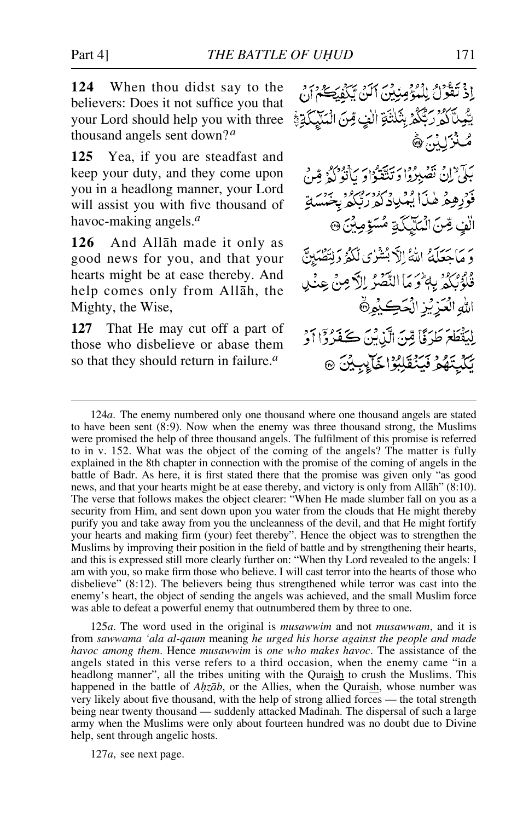**124** When thou didst say to the believers: Does it not suffice you that your Lord should help you with three thousand angels sent down?*<sup>a</sup>*

**125** Yea, if you are steadfast and keep your duty, and they come upon you in a headlong manner, your Lord will assist you with five thousand of havoc-making angels.*<sup>a</sup>*

**126** And Allåh made it only as good news for you, and that your hearts might be at ease thereby. And help comes only from Allåh, the Mighty, the Wise,

**127** That He may cut off a part of those who disbelieve or abase them so that they should return in failure.*<sup>a</sup>*

اِذْ تَقُوْلُ لِلْمُؤْمِنِينَ ٱلَنِّ يَكْفِيَكُمْ أَنْ يَّكِيكَ لِمُرْرَبَّكُمُّ بِثَلَثَةِ الَّذِي قِنَ الْمَلَيْكَةِ فِي صُنْزَلَٰنُہَ کُے بَكِّيٌّ إِنْ نَصْبِرُوا وَتَتَّقَوْاوَ يَأْتُوَكِّهُ مِّنْ فَوْرِهِمْ هٰذَا يُهْدِدُ وَمُرْدِرُ مِنْ وَجَدَبَ الْفِ صِّنَ الْمَلَيْكَةِ مُسَوِّمِينَ ۞ وَ مَاحَعَلَهُ اللَّهُ إِلَّا بُشْرُى لَكُمْ وَلِتَطْمَلِنَّ فْلُؤْنَكُمْ بِبِهِ وَمَا النَّصْرُ إِلَّا مِنْ عِنْدِي اللهِ الْعَزِيْزِ الْحَكِيْمِ لِيَقْطَعَ طَرَؤًا قِينَ الَّذِينَ كَفَرُدًّا أَوْ يَكْيِتَهُمْ فَيَنْقَلِبُوْا خَالِبِيْنَ ۞

125*a*. The word used in the original is *musawwim* and not *musawwam*, and it is from *sawwama 'ala al-qaum* meaning *he urged his horse against the people and made havoc among them*. Hence *musawwim* is *one who makes havoc*. The assistance of the angels stated in this verse refers to a third occasion, when the enemy came "in a headlong manner", all the tribes uniting with the Quraish to crush the Muslims. This happened in the battle of *Ahzāb*, or the Allies, when the Quraish, whose number was very likely about five thousand, with the help of strong allied forces — the total strength being near twenty thousand — suddenly attacked Madinah. The dispersal of such a large army when the Muslims were only about fourteen hundred was no doubt due to Divine help, sent through angelic hosts.

127*a*, see next page.

<sup>124</sup>*a*. The enemy numbered only one thousand where one thousand angels are stated to have been sent (8:9). Now when the enemy was three thousand strong, the Muslims were promised the help of three thousand angels. The fulfilment of this promise is referred to in v. 152. What was the object of the coming of the angels? The matter is fully explained in the 8th chapter in connection with the promise of the coming of angels in the battle of Badr. As here, it is first stated there that the promise was given only "as good news, and that your hearts might be at ease thereby, and victory is only from Allåh" (8:10). The verse that follows makes the object clearer: "When He made slumber fall on you as a security from Him, and sent down upon you water from the clouds that He might thereby purify you and take away from you the uncleanness of the devil, and that He might fortify your hearts and making firm (your) feet thereby". Hence the object was to strengthen the Muslims by improving their position in the field of battle and by strengthening their hearts, and this is expressed still more clearly further on: "When thy Lord revealed to the angels: I am with you, so make firm those who believe. I will cast terror into the hearts of those who disbelieve" (8:12). The believers being thus strengthened while terror was cast into the enemy's heart, the object of sending the angels was achieved, and the small Muslim force was able to defeat a powerful enemy that outnumbered them by three to one.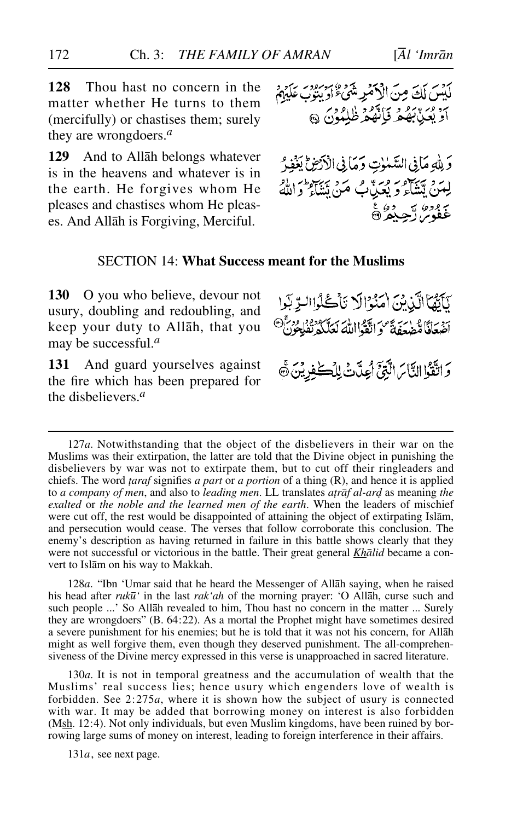**128** Thou hast no concern in the matter whether He turns to them (mercifully) or chastises them; surely they are wrongdoers.*<sup>a</sup>*

**129** And to Allåh belongs whatever is in the heavens and whatever is in the earth. He forgives whom He pleases and chastises whom He pleases. And Allåh is Forgiving, Merciful.

لَّكِسَ لَكَ مِنَ الْأَهْرِشَىءَ اوْ بِنِوْبِ عَلَيْهِمْ اَوْ يُعَيْدِبُهُمْ فَإِنَّهُمْ ظُلِمُونَ ۞

وَلِلَّهِ مَانِي السَّمٰوٰتِ وَمَانِي الْأَرْضِ لِبَغْوِر لِمَنْ يَتَّقَاءُ وَ يُعَيِّنُ بُّ مَنْ يَتَقَاءُ وَاللَّهُ يَ وَدِهُ سَبِيْدِهِ عَ

# SECTION 14: **What Success meant for the Muslims**

**130** O you who believe, devour not usury, doubling and redoubling, and keep your duty to Allåh, that you may be successful.*<sup>a</sup>*

**131** And guard yourselves against the fire which has been prepared for the disbelievers.*<sup>a</sup>*

كَأَيُّهَا الَّذِينَ امْنُوْالَا تَأْكُلُوا لِدِّبَوا الجمعاني هندمة من يهم الأم يمكن ودورة.<br>أضعافي مضغفة موالقواالله لعلكه تفلحون وَاتَّقُوْا النَّاسَ الَّتِيَّ أَعِدَّتْ لِلْكَنْوِيْنَ ﴾

128*a*. "Ibn 'Umar said that he heard the Messenger of Allåh saying, when he raised his head after *ruk∂'* in the last *rak'ah* of the morning prayer: 'O Allåh, curse such and such people ...' So Allåh revealed to him, Thou hast no concern in the matter ... Surely they are wrongdoers" (B. 64:22). As a mortal the Prophet might have sometimes desired a severe punishment for his enemies; but he is told that it was not his concern, for Allåh might as well forgive them, even though they deserved punishment. The all-comprehensiveness of the Divine mercy expressed in this verse is unapproached in sacred literature.

130*a*. It is not in temporal greatness and the accumulation of wealth that the Muslims' real success lies; hence usury which engenders love of wealth is forbidden. See 2:275*a*, where it is shown how the subject of usury is connected with war. It may be added that borrowing money on interest is also forbidden  $(Msh. 12:4)$ . Not only individuals, but even Muslim kingdoms, have been ruined by borrowing large sums of money on interest, leading to foreign interference in their affairs.

131*a*, see next page.

<sup>127</sup>*a*. Notwithstanding that the object of the disbelievers in their war on the Muslims was their extirpation, the latter are told that the Divine object in punishing the disbelievers by war was not to extirpate them, but to cut off their ringleaders and chiefs. The word *∆araf* signifies *a part* or *a portion* of a thing (R), and hence it is applied to *a company of men*, and also to *leading men*. LL translates *atrāf al-ard* as meaning the *exalted* or *the noble and the learned men of the earth*. When the leaders of mischief were cut off, the rest would be disappointed of attaining the object of extirpating Islåm, and persecution would cease. The verses that follow corroborate this conclusion. The enemy's description as having returned in failure in this battle shows clearly that they were not successful or victorious in the battle. Their great general *Khålid* became a convert to Islåm on his way to Makkah.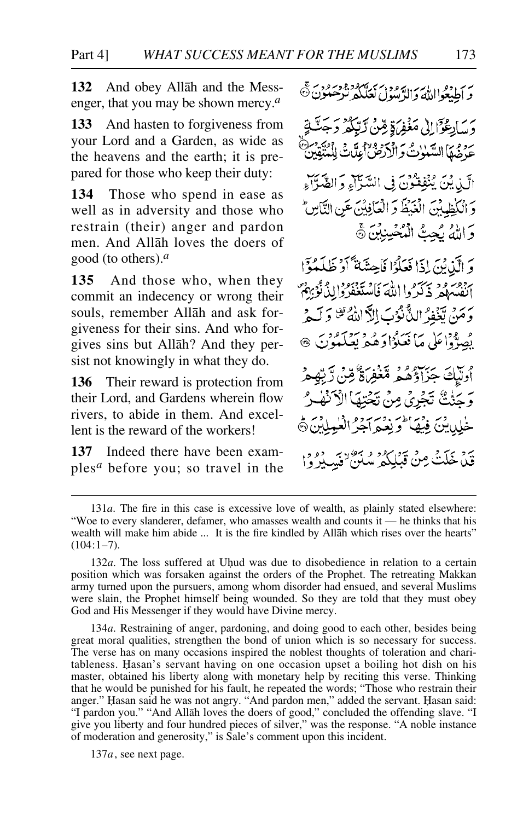**132** And obey Allåh and the Messenger, that you may be shown mercy.*<sup>a</sup>*

**133** And hasten to forgiveness from your Lord and a Garden, as wide as the heavens and the earth; it is prepared for those who keep their duty:

**134** Those who spend in ease as well as in adversity and those who restrain (their) anger and pardon men. And Allåh loves the doers of good (to others).*<sup>a</sup>*

**135** And those who, when they commit an indecency or wrong their souls, remember Allåh and ask forgiveness for their sins. And who forgives sins but Allåh? And they persist not knowingly in what they do.

**136** Their reward is protection from their Lord, and Gardens wherein flow rivers, to abide in them. And excellent is the reward of the workers!

**137** Indeed there have been examples*<sup>a</sup>* before you; so travel in the رير دو داران سر دورس سرس دورس تهر<br>و اطبعواالله والرَّسول لعلَّكه نرْحَمْوُنَ ®

رسايعُوَّالِ مَغْفِرَةٍ مِّنْ لَّهِ حَرْضُهَا السَّنْدُتُ وَالْذَرْضُ عِدَّيْ لِلَّهُ الَّيْدِيْنَ يُنْفِقِيُّوْنَ فِي السَّيِّآءِ وَالصَّوَّآءِ وَ الْكَطِيبْنَ الْغَيْظَ وَ الْعَافِيَّنَ عَنِ التَّاسِّ وَاللَّهُ بَجِتُّ الْمُخْسِنِيْنَ ﴾

وَ الَّذِينَ إِذَا فَعَلَوُا فَاحِشَةً أَوْ ظَلَمْوَا يزدم ووسر والله فاستعفروا لدُنُوبِهِمْ وَمَنْ يَّنَفِرُ الدُّنْزُبَ إِلاَّ اللَّهُ ثَنْ وَلَيْدِ بِصَدَّدَاعَلَى مَا فَعَلَوْا وَهُ مِرْسَمَةٍ بِعَلَمَةٍ زَيَ أُولَيْكَ جَزَاؤُهُمْ مَّغْفِرَةٌ قِبْنَ رَّبِّهِمْ وَ حَتَّتْ تَجْرِي مِنْ تَجْتِهَا الْأَنْفِيرُ خْلِينِينَ فِيْهَا وَبِعْيَهِ أَجْرُ الْغَيْلَيْنَ ۞

قَدْ خَلَتْ مِنْ قَبْلِكُمْ سُنَنْ فَسِيرُوْا

134*a*. Restraining of anger, pardoning, and doing good to each other, besides being great moral qualities, strengthen the bond of union which is so necessary for success. The verse has on many occasions inspired the noblest thoughts of toleration and charitableness. Ïasan's servant having on one occasion upset a boiling hot dish on his master, obtained his liberty along with monetary help by reciting this verse. Thinking that he would be punished for his fault, he repeated the words; "Those who restrain their anger." Hasan said he was not angry. "And pardon men," added the servant. Hasan said: "I pardon you." "And Allåh loves the doers of good," concluded the offending slave. "I give you liberty and four hundred pieces of silver," was the response. "A noble instance of moderation and generosity," is Sale's comment upon this incident.

137*a*, see next page.

<sup>131</sup>*a*. The fire in this case is excessive love of wealth, as plainly stated elsewhere: "Woe to every slanderer, defamer, who amasses wealth and counts it — he thinks that his wealth will make him abide ... It is the fire kindled by Allåh which rises over the hearts"  $(104:1-7)$ .

<sup>132</sup>*a*. The loss suffered at Uhud was due to disobedience in relation to a certain position which was forsaken against the orders of the Prophet. The retreating Makkan army turned upon the pursuers, among whom disorder had ensued, and several Muslims were slain, the Prophet himself being wounded. So they are told that they must obey God and His Messenger if they would have Divine mercy.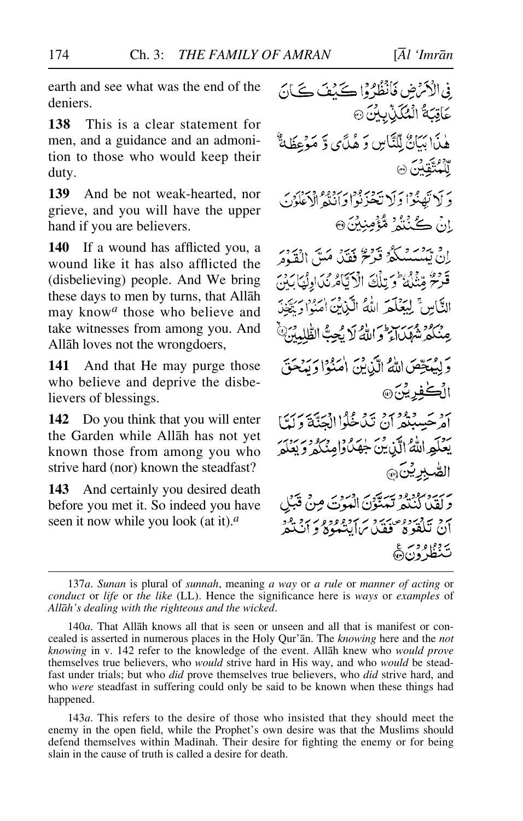earth and see what was the end of the deniers.

**138** This is a clear statement for men, and a guidance and an admonition to those who would keep their duty.

**139** And be not weak-hearted, nor grieve, and you will have the upper hand if you are believers.

**140** If a wound has afflicted you, a wound like it has also afflicted the (disbelieving) people. And We bring these days to men by turns, that Allåh may know*<sup>a</sup>* those who believe and take witnesses from among you. And Allåh loves not the wrongdoers,

**141** And that He may purge those who believe and deprive the disbelievers of blessings.

**142** Do you think that you will enter the Garden while Allåh has not yet known those from among you who strive hard (nor) known the steadfast?

**143** And certainly you desired death before you met it. So indeed you have seen it now while you look (at it).*<sup>a</sup>*

فِي الْأَمْرَضِ فَأَنْظُرُوْا كَيْفَ كَيَانَ عَاقِبَةُ الْمُكَنِّبِينَ۞ هٰذَا بَيَانٌ لِلنَّاسِ وَ هُدَّى وَ مَؤْعِظَةٌ 89 مئي دين<br>لل**مت**قلبن @ دَ لَا تَهْنُوْا وَلَا يَحْزَنُوا وَأَنْتُهُ الْأَعْلَوْنَ انْ ڪُنُنُهُ مُؤْمِنِيْنَ۞ إِنْ يَهْتَمْسَكُمْ قَرْنَحْ فَقَدْ مَسَّ الْقَوْمَ قَدْحَ مِّنْلُهُ وَيَبْلُغَ الْأَيَّامُ نُدَادِئُهَا بَيْنَ التَّاسُ لِيَعْلَمَ اللَّهُ الَّيْانُ امْدُا دِيْدَ. وبرود وسرسر اس و كه ايجة الطّلبين" ر ويه حصّ الله الّي بن الرود و ربّه.<br>وَلِيهَ حِصّ اللهُ الّي بن امنوا وَ مدحق الُڪُفِريُنَ۞ ہر ۔ وود ہو ۔ وعوالا تحدید ۔<br>امر حسینگر ان تیاخگوا الحتۃ ولیا يُعْلَمِهِ اللَّهُ الَّذِينَ خِهَدًاوْامِنَكُمْ وَيَعْلَمَ الصبرين بربية مودود سنة بر ادبربر<br>ولقدا كنتمر تتهتون الموت مِنْ قَبَلِ ان تلغوه عصر و سردوروو سرد و در<br>ان تلغوه قفیدسان ب يروم ورغ<br>تنظرون@

<sup>137</sup>*a*. *Sunan* is plural of *sunnah*, meaning *a way* or *a rule* or *manner of acting* or *conduct* or *life* or *the like* (LL). Hence the significance here is *ways* or *examples* of *Allåh's dealing with the righteous and the wicked*.

<sup>140</sup>*a*. That Allåh knows all that is seen or unseen and all that is manifest or concealed is asserted in numerous places in the Holy Qur'ån. The *knowing* here and the *not knowing* in v. 142 refer to the knowledge of the event. Allåh knew who *would prove* themselves true believers, who *would* strive hard in His way, and who *would* be steadfast under trials; but who *did* prove themselves true believers, who *did* strive hard, and who *were* steadfast in suffering could only be said to be known when these things had happened.

<sup>143</sup>*a*. This refers to the desire of those who insisted that they should meet the enemy in the open field, while the Prophet's own desire was that the Muslims should defend themselves within Madinah. Their desire for fighting the enemy or for being slain in the cause of truth is called a desire for death.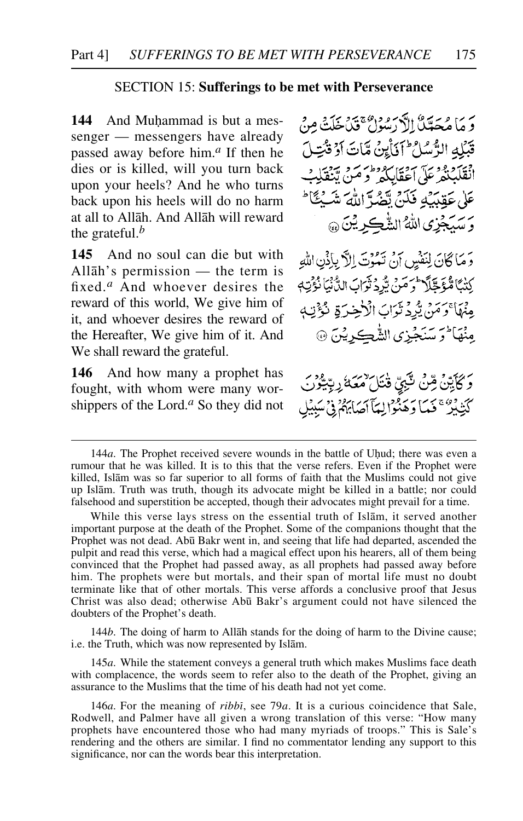### SECTION 15: **Sufferings to be met with Perseverance**

**144** And Muhammad is but a messenger — messengers have already passed away before him.*<sup>a</sup>* If then he dies or is killed, will you turn back upon your heels? And he who turns back upon his heels will do no harm at all to Allåh. And Allåh will reward the grateful.*<sup>b</sup>*

**145** And no soul can die but with Allåh's permission — the term is fixed.*<sup>a</sup>* And whoever desires the reward of this world, We give him of it, and whoever desires the reward of the Hereafter, We give him of it. And We shall reward the grateful.

**146** And how many a prophet has fought, with whom were many worshippers of the Lord.*<sup>a</sup>* So they did not

بريرا وسرتاءُ الكرسود، -<br>و ها مُحَدَّبٌلُّ الأَدْسُولُ عَلَيْجِ مِنْ خَلِبَتْهِ مِنْ قَبْلُه الرُّسُلُ ۖ أَذَاْبِنُ مَّاتَ أَدْ قُبْتِيلَ انْقَلْبُنْهُمْ عَلَى اَعْقَابِكُهُمْ وَ مَنْ تَنْقَلْبُ عَلَىٰ عَقِيَبَكِ فَكَنَّ تَقْبُدَّ اللَّهَ شَبْعًا ۖ رسبكجُزِي اللَّهُ الشَّكِرِيْنَ ۞ وَ مَا كَانَ لِنَفْسٍ إِنْ نَعْبُوْتَ إِلاَّ بِإِذْنِ اللَّهِ كِنْتًا مُوَجَّلاً وَسَنَّ بِيُّرِدَ نَوَابَ الدُّنْيَانُوَيْتِهِ مِنْهَا ۚ وَمَنْ يُرُدِّ تَوَابَ الْأَخِيرَةِ نُؤْتِ مِنْهَا َ تَرَسْنَجْزِي الشَّكريْنَ ۞

*ۘو*ؘػٲؾؚڹؖۦڞؚؽٙ؈ۜٛۼۣؠ؋ڎ*ٵ*ۣڎڂؽ كَتِّذْبِيْرٌ ۚ فَمَا دَهَّعْوَالِيَآ أَصَابَهُمْ فِيْ سَبِيرٌ

144*b*. The doing of harm to Allåh stands for the doing of harm to the Divine cause; i.e. the Truth, which was now represented by Islåm.

145*a*. While the statement conveys a general truth which makes Muslims face death with complacence, the words seem to refer also to the death of the Prophet, giving an assurance to the Muslims that the time of his death had not yet come.

<sup>144</sup>*a*. The Prophet received severe wounds in the battle of Uhud; there was even a rumour that he was killed. It is to this that the verse refers. Even if the Prophet were killed, Islåm was so far superior to all forms of faith that the Muslims could not give up Islåm. Truth was truth, though its advocate might be killed in a battle; nor could falsehood and superstition be accepted, though their advocates might prevail for a time.

While this verse lays stress on the essential truth of Islåm, it served another important purpose at the death of the Prophet. Some of the companions thought that the Prophet was not dead. Abū Bakr went in, and seeing that life had departed, ascended the pulpit and read this verse, which had a magical effect upon his hearers, all of them being convinced that the Prophet had passed away, as all prophets had passed away before him. The prophets were but mortals, and their span of mortal life must no doubt terminate like that of other mortals. This verse affords a conclusive proof that Jesus Christ was also dead; otherwise Ab∂ Bakr's argument could not have silenced the doubters of the Prophet's death.

<sup>146</sup>*a*. For the meaning of *ribbß*, see 79*a*. It is a curious coincidence that Sale, Rodwell, and Palmer have all given a wrong translation of this verse: "How many prophets have encountered those who had many myriads of troops." This is Sale's rendering and the others are similar. I find no commentator lending any support to this significance, nor can the words bear this interpretation.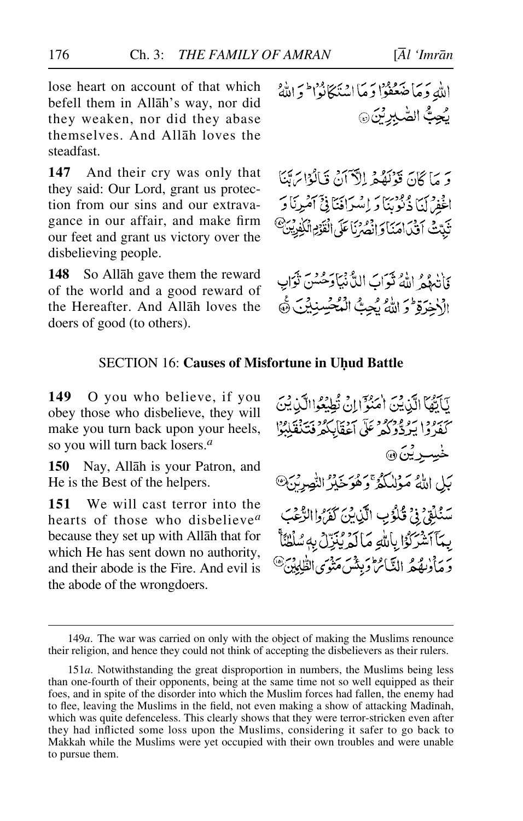lose heart on account of that which befell them in Allåh's way, nor did they weaken, nor did they abase themselves. And Allåh loves the steadfast.

**147** And their cry was only that they said: Our Lord, grant us protection from our sins and our extravagance in our affair, and make firm our feet and grant us victory over the disbelieving people.

**148** So Allåh gave them the reward of the world and a good reward of the Hereafter. And Allåh loves the doers of good (to others).

وَ يَرَاكِنَ قَدْنَعْدُ إِلَّٰٓ آنَ قَالَٰهِ إِسَائِ افجودس وفوريًا وَ إِسْرَافَيَا فِيَ آمُرِيَا دَ تَنَدَّثَ أَقْدَاهَنَا وَإِنْهُمْ نَا عَلَى الْقَوْمِ الْكُفِينَ ۚ

وَأَتْبِهُمْ اللَّهُ ثَوَابَ اللَّهُ نِيَاوَحُسُنَ نَوَابٍ الْأَخِرَةِ وَ اللَّهُ يُجِبُّ الْمُحْسِنِيْنَ ﴾

# **SECTION 16: Causes of Misfortune in Uhud Battle**

**149** O you who believe, if you obey those who disbelieve, they will make you turn back upon your heels, so you will turn back losers.*<sup>a</sup>*

**150** Nay, Allåh is your Patron, and He is the Best of the helpers.

**151** We will cast terror into the hearts of those who disbelieve*<sup>a</sup>* because they set up with Allåh that for which He has sent down no authority, and their abode is the Fire. And evil is the abode of the wrongdoers.

يَأْتُهَا الَّذِينَ اٰمَنُوۡٓ إِنۡ تُطِيۡعُواالَّذِينَ كَفَدُوا يَرْدُّوكُمْ مَلَّى أَعْقَابِكُمْ فَتَذَقَلِبُوْا لهيسوين<sub>گ</sub> بَلِ اللَّهُ مَوْلَىٰكُمُّ وَهُوَخَيْرُ النَّصِرِيَّنَ سَنُلِّقٍ فِي قُلُوُبِ الَّذِينَ كَفَرُوا الرَّعْبَ بِيَآَ أَشْرَكُوْا بِأَلَّٰلِهِ مَا لَمْرِيْنِزِلْ بِهِ سُلْطُنَأَ وَ مَأْدِيعُهُ النَّائِرَا وَبِيْنَ مَدْمَى الطَّابِينَ۞

<sup>149</sup>*a*. The war was carried on only with the object of making the Muslims renounce their religion, and hence they could not think of accepting the disbelievers as their rulers.

<sup>151</sup>*a*. Notwithstanding the great disproportion in numbers, the Muslims being less than one-fourth of their opponents, being at the same time not so well equipped as their foes, and in spite of the disorder into which the Muslim forces had fallen, the enemy had to flee, leaving the Muslims in the field, not even making a show of attacking Madinah, which was quite defenceless. This clearly shows that they were terror-stricken even after they had inflicted some loss upon the Muslims, considering it safer to go back to Makkah while the Muslims were yet occupied with their own troubles and were unable to pursue them.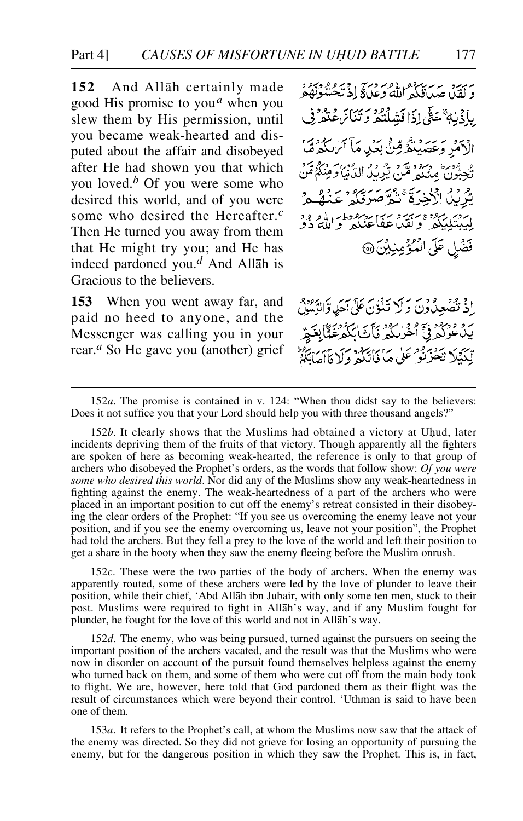# Part 4] *CAUSES OF MISFORTUNE IN UHUD BATTLE* 177

**152** And Allåh certainly made good His promise to you*<sup>a</sup>* when you slew them by His permission, until you became weak-hearted and disputed about the affair and disobeyed after He had shown you that which you loved.*<sup>b</sup>* Of you were some who desired this world, and of you were some who desired the Hereafter.*<sup>c</sup>* Then He turned you away from them that He might try you; and He has indeed pardoned you.*<sup>d</sup>* And Allåh is Gracious to the believers.

**153** When you went away far, and paid no heed to anyone, and the Messenger was calling you in your rear.*<sup>a</sup>* So He gave you (another) grief

سربرد سەسرىي دەرەستى دەرەبەدە<br>د لقدا جىداقىگىر للە دېمانى (د تېخىسونۇم بِإِذْنِهٖ ۚ حَتَّى إِذَا فَشِلْتُكُمْ وَتَنَائِنَ عَنْكُمْ فِي الْأَهْرِ وَعَصَبِنَّهُ مِّنَّ بِعَلِي مَآَ أَيْهَا كُرُوِّيًّا و ودرا وبرد قرد و دي الدنيا و منكومين. يْرِيدُ الْإِخِرَةَ ۚ نُمَّ صَرْفِكُمْ عَنْهُ مِّ لِيَدِيْتِكِيْݣُو ۚ وَكَيْنَ عَفَاعْنَكُمْ وَاللَّهُ ذُوْ فَضَلِ عَلَى الْمُؤْمِنِيْنَ @

اِذْ تَصْعِدُونَ وَلَا تَذَٰزِنَ عَلَى آَحَدٍ وَالرَّسُوْلُ رد وردود فيٍّ الحُرْكَةِ فَأَتَابَكَهُ فَقَالِعَةٍ تِكَيْلَا تَحْزَنُوْاعَلَى مَا فَاتِّكُوْ وَلَا مَأْأَصَابَه

152*a*. The promise is contained in v. 124: "When thou didst say to the believers: Does it not suffice you that your Lord should help you with three thousand angels?"

152*b*. It clearly shows that the Muslims had obtained a victory at Uhud, later incidents depriving them of the fruits of that victory. Though apparently all the fighters are spoken of here as becoming weak-hearted, the reference is only to that group of archers who disobeyed the Prophet's orders, as the words that follow show: *Of you were some who desired this world*. Nor did any of the Muslims show any weak-heartedness in fighting against the enemy. The weak-heartedness of a part of the archers who were placed in an important position to cut off the enemy's retreat consisted in their disobeying the clear orders of the Prophet: "If you see us overcoming the enemy leave not your position, and if you see the enemy overcoming us, leave not your position", the Prophet had told the archers. But they fell a prey to the love of the world and left their position to get a share in the booty when they saw the enemy fleeing before the Muslim onrush.

152*c*. These were the two parties of the body of archers. When the enemy was apparently routed, some of these archers were led by the love of plunder to leave their position, while their chief, 'Abd Allåh ibn Jubair, with only some ten men, stuck to their post. Muslims were required to fight in Allåh's way, and if any Muslim fought for plunder, he fought for the love of this world and not in Allåh's way.

152*d*. The enemy, who was being pursued, turned against the pursuers on seeing the important position of the archers vacated, and the result was that the Muslims who were now in disorder on account of the pursuit found themselves helpless against the enemy who turned back on them, and some of them who were cut off from the main body took to flight. We are, however, here told that God pardoned them as their flight was the result of circumstances which were beyond their control. 'Uthman is said to have been one of them.

153*a*. It refers to the Prophet's call, at whom the Muslims now saw that the attack of the enemy was directed. So they did not grieve for losing an opportunity of pursuing the enemy, but for the dangerous position in which they saw the Prophet. This is, in fact,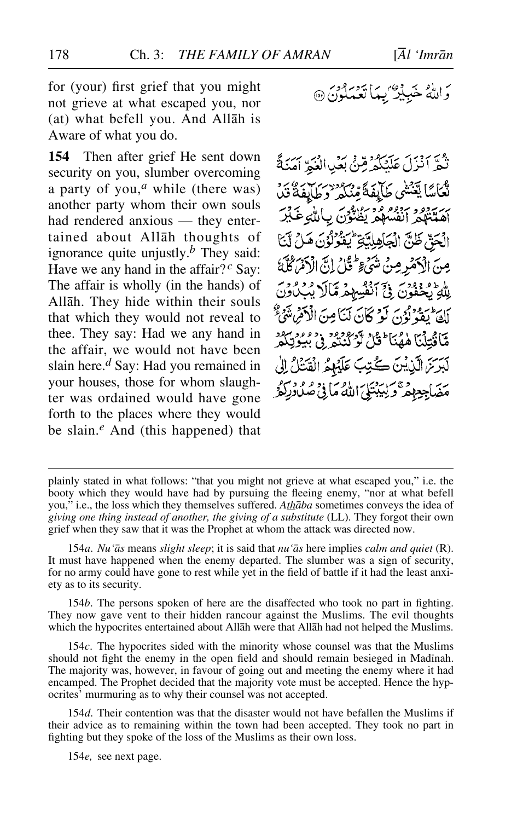for (your) first grief that you might not grieve at what escaped you, nor (at) what befell you. And Allåh is Aware of what you do.

**154** Then after grief He sent down security on you, slumber overcoming a party of you,*<sup>a</sup>* while (there was) another party whom their own souls had rendered anxious — they entertained about Allåh thoughts of ignorance quite unjustly.*<sup>b</sup>* They said: Have we any hand in the affair?<sup>*c*</sup> Say: The affair is wholly (in the hands) of Allåh. They hide within their souls that which they would not reveal to thee. They say: Had we any hand in the affair, we would not have been slain here.*<sup>d</sup>* Say: Had you remained in your houses, those for whom slaughter was ordained would have gone forth to the places where they would be slain.*<sup>e</sup>* And (this happened) that

نْݣُوّْ أَنْزَلَ عَلَيْكُمُ قِنَّى بَعْيِدِ الْغَيْرِ أَمَنَةً لْكَمَاسًا يَعْنُثُمِي طَآيِفَةً مِّنْكُمْ 'وَطَالِفَةُ قُدْرُ أصبتهم أنفسهم يظنون ببالله عَكَّرَ الْحَقّ ظَنَّ الْجَاهِلِيَّةِ يُتَغُرُّلُونَ هَلْ لَنَّ مِنَ الْأَهْرِ مِنْ شَيْءٍ ثُمِّنُ إِنَّ الْأَهْرَكُمْ بِلْهِ تَحْفُونَ فِيِّ أَنْفُسِهِمْ مَّالَ يُبِكُونَ لِكَ يَقُولُونَ لَوْ كَانَ لَنَامِنَ الْأَكْرَمِ شَيْءٌ مَّاَقُتِلْنَا هٰهُنَا ۚ قُلْ لَوْ كُنْتُو وْ مُبْوِيْكُمْ لَبَرَسَ الَّذِيْنَ كُتِبَ عَلَيْهِمُ الْقَتَلُ إِلَىٰ برس وگريدين الله ما ورو و دينو<br>مضاجع همر ديليتلي الله ما في صلاديگر

154*b*. The persons spoken of here are the disaffected who took no part in fighting. They now gave vent to their hidden rancour against the Muslims. The evil thoughts which the hypocrites entertained about Allåh were that Allåh had not helped the Muslims.

154*c*. The hypocrites sided with the minority whose counsel was that the Muslims should not fight the enemy in the open field and should remain besieged in Madinah. The majority was, however, in favour of going out and meeting the enemy where it had encamped. The Prophet decided that the majority vote must be accepted. Hence the hypocrites' murmuring as to why their counsel was not accepted.

154*d*. Their contention was that the disaster would not have befallen the Muslims if their advice as to remaining within the town had been accepted. They took no part in fighting but they spoke of the loss of the Muslims as their own loss.

154*e,* see next page.

plainly stated in what follows: "that you might not grieve at what escaped you," i.e. the booty which they would have had by pursuing the fleeing enemy, "nor at what befell you," i.e., the loss which they themselves suffered. *Athåba* sometimes conveys the idea of *giving one thing instead of another, the giving of a substitute* (LL). They forgot their own grief when they saw that it was the Prophet at whom the attack was directed now.

<sup>154</sup>*a*. *Nu'ås* means *slight sleep*; it is said that *nu'ås* here implies *calm and quiet* (R). It must have happened when the enemy departed. The slumber was a sign of security, for no army could have gone to rest while yet in the field of battle if it had the least anxiety as to its security.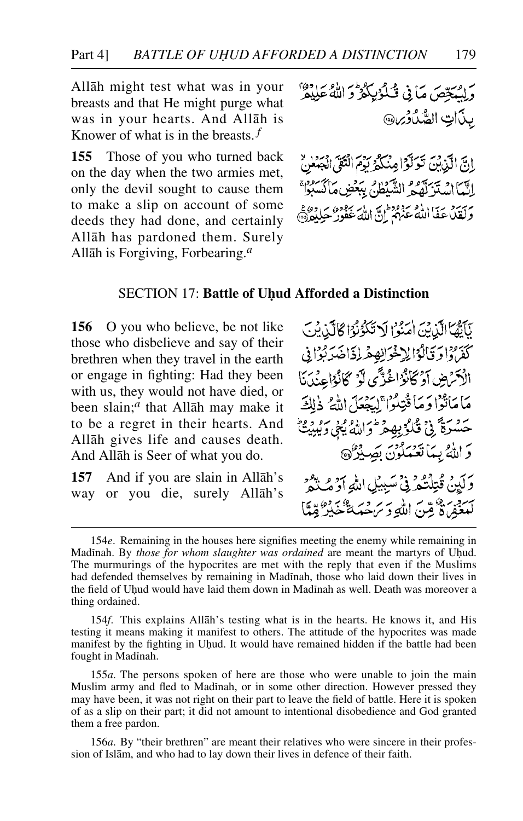Allåh might test what was in your breasts and that He might purge what was in your hearts. And Allåh is Knower of what is in the breasts. *<sup>f</sup>*

**155** Those of you who turned back on the day when the two armies met, only the devil sought to cause them to make a slip on account of some deeds they had done, and certainly Allåh has pardoned them. Surely Allåh is Forgiving, Forbearing.*<sup>a</sup>*

ر ريجي ماني شكوبكرون الله عليمر بذاتِ الصَّدُوْيِنِ

إِنَّ الَّذِينَ تَوَلَّوْا مِنْكُمُ دَمْ الْتَقِي اجْهَدْ ٌ الَّبَّمَانِ مَدَبِّرَتَّهُ مِ الشَّيْطُنُّ بِبَعْضِ مَأْكَسَبُوْا ی سرد بہ اللہ عنہ ودی ہے ، ایر بہود سے دوئے<br>ولغلاءَ فااللہ عنہم ان اللہ عفور حیلتہ دہ

### **SECTION 17: Battle of Uhud Afforded a Distinction**

**156** O you who believe, be not like those who disbelieve and say of their brethren when they travel in the earth or engage in fighting: Had they been with us, they would not have died, or been slain;*<sup>a</sup>* that Allåh may make it to be a regret in their hearts. And Allåh gives life and causes death. And Allåh is Seer of what you do.

**157** And if you are slain in Allåh's way or you die, surely Allåh's

كَأَيُّهَا الَّذِينَ اٰمَنُوْا لَا تَكُوْنُوا كَالَّذِينَ كَفَرْهُ اوْ قَالُوْالِهِ خْوَانِهِ هْمِهِ إِذَاخَلَهُ كَبِرَا فِي الْأَمْرَضِ أَوْكَانُوْاغُذِّي لَّوْ كَانُوْاعِنْدَنَا مَامَاتُوْا دَمَا قُتِلُوْا ۚ لِيَجْعَلَ اللَّهُ ذٰلِكَ حَسْرَةً فِي قُلْوُبِهِ مِرْطُوَاللَّهُ يَبْيَ وَيُبِيَتْ دَ اللَّهُ بِيمَا تَعْبَدُونَ بِصَدِّرٌ ۞ رَبِّينَ قُتِلَتُكُّهُ فِي ْسَبِيبُلِ اللَّهِ أَوْ مُكْنَعُ سبعيد ، وَيَبْنَ اللَّهِ وَيَرَجّعَهَ تَشْكَيْرُ قِيلًا

<sup>154</sup>*e*. Remaining in the houses here signifies meeting the enemy while remaining in Madinah. By *those for whom slaughter was ordained* are meant the martyrs of Uhud. The murmurings of the hypocrites are met with the reply that even if the Muslims had defended themselves by remaining in Madinah, those who laid down their lives in the field of Uhud would have laid them down in Madinah as well. Death was moreover a thing ordained.

<sup>154</sup>*f*. This explains Allåh's testing what is in the hearts. He knows it, and His testing it means making it manifest to others. The attitude of the hypocrites was made manifest by the fighting in Uhud. It would have remained hidden if the battle had been fought in Madinah.

<sup>155</sup>*a*. The persons spoken of here are those who were unable to join the main Muslim army and fled to Madinah, or in some other direction. However pressed they may have been, it was not right on their part to leave the field of battle. Here it is spoken of as a slip on their part; it did not amount to intentional disobedience and God granted them a free pardon.

<sup>156</sup>*a*. By "their brethren" are meant their relatives who were sincere in their profession of Islåm, and who had to lay down their lives in defence of their faith.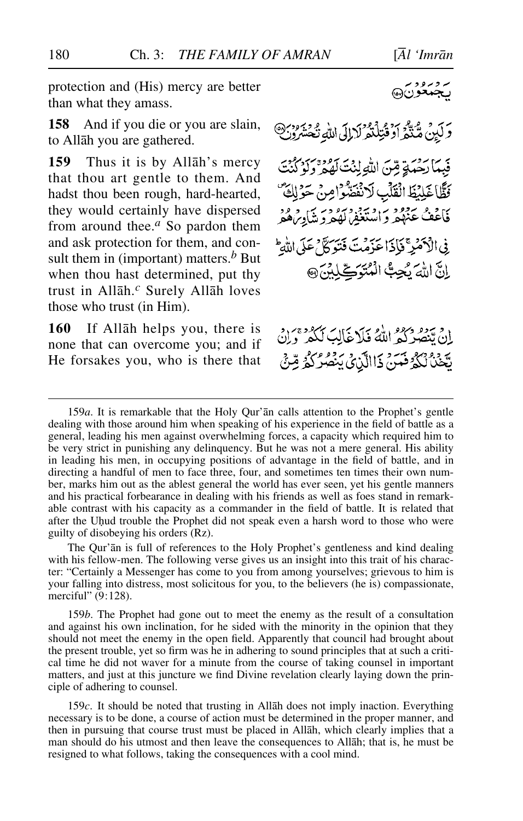protection and (His) mercy are better than what they amass.

**158** And if you die or you are slain, to Allåh you are gathered.

**159** Thus it is by Allåh's mercy that thou art gentle to them. And hadst thou been rough, hard-hearted, they would certainly have dispersed from around thee.*<sup>a</sup>* So pardon them and ask protection for them, and consult them in (important) matters.*<sup>b</sup>* But when thou hast determined, put thy trust in Allåh.*<sup>c</sup>* Surely Allåh loves those who trust (in Him).

**160** If Allåh helps you, there is none that can overcome you; and if He forsakes you, who is there that وَكَيْنَ مُّنَّذِّرَ أَوْقُتِلْنَوْلَا إِلَى اللَّهِ نَحْشَرُونَ @ فِيمارسِ قِينَ اللَّهِ لِنُتَ لَهُوَ بِهِمْ وَلَوْ فَظَّاغَلِيْظَ الْقَلْبِ لَانْفَصَّوْامِنْ حَوْلِكَ فَأَعْفُ عَنْهُمْ وَاسْتَغْفِرْتُوْدِيْنَ وَوُدْ فِي الْأَهْمَرِ فَإِذَا عَذِمْتَ فَتَوَكَّلْ عَلَى اللَّهِ انَّ اللهَ بِجِبُّ الْمُتَوَكِّلِلِنَّ @

ان تبصره درود الله فیلاغال ککه دی.د يَّخْذُلُكُمُ فَتَنْ ذَاالَّيْنَ يَنْصُرُكُمُ مِّنْ

The Qur'ån is full of references to the Holy Prophet's gentleness and kind dealing with his fellow-men. The following verse gives us an insight into this trait of his character: "Certainly a Messenger has come to you from among yourselves; grievous to him is your falling into distress, most solicitous for you, to the believers (he is) compassionate, merciful" (9:128).

159*b*. The Prophet had gone out to meet the enemy as the result of a consultation and against his own inclination, for he sided with the minority in the opinion that they should not meet the enemy in the open field. Apparently that council had brought about the present trouble, yet so firm was he in adhering to sound principles that at such a critical time he did not waver for a minute from the course of taking counsel in important matters, and just at this juncture we find Divine revelation clearly laying down the principle of adhering to counsel.

159*c*. It should be noted that trusting in Allåh does not imply inaction. Everything necessary is to be done, a course of action must be determined in the proper manner, and then in pursuing that course trust must be placed in Allåh, which clearly implies that a man should do his utmost and then leave the consequences to Allåh; that is, he must be resigned to what follows, taking the consequences with a cool mind.

ئەمرىرە<br>بېجمەنون6

<sup>159</sup>*a*. It is remarkable that the Holy Qur'ån calls attention to the Prophet's gentle dealing with those around him when speaking of his experience in the field of battle as a general, leading his men against overwhelming forces, a capacity which required him to be very strict in punishing any delinquency. But he was not a mere general. His ability in leading his men, in occupying positions of advantage in the field of battle, and in directing a handful of men to face three, four, and sometimes ten times their own number, marks him out as the ablest general the world has ever seen, yet his gentle manners and his practical forbearance in dealing with his friends as well as foes stand in remarkable contrast with his capacity as a commander in the field of battle. It is related that after the Uhud trouble the Prophet did not speak even a harsh word to those who were guilty of disobeying his orders (Rz).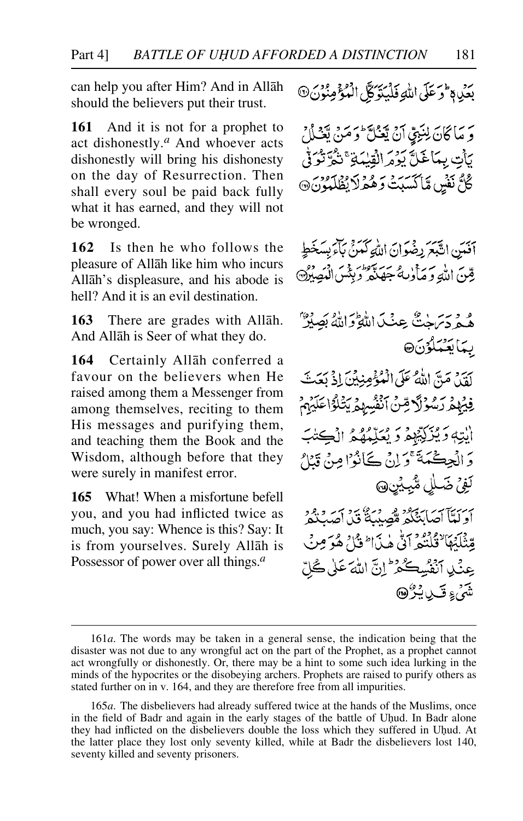can help you after Him? And in Allåh should the believers put their trust.

**161** And it is not for a prophet to act dishonestly.*<sup>a</sup>* And whoever acts dishonestly will bring his dishonesty on the day of Resurrection. Then shall every soul be paid back fully what it has earned, and they will not be wronged.

**162** Is then he who follows the pleasure of Allåh like him who incurs Allåh's displeasure, and his abode is hell? And it is an evil destination.

**163** There are grades with Allåh. And Allåh is Seer of what they do.

**164** Certainly Allåh conferred a favour on the believers when He raised among them a Messenger from among themselves, reciting to them His messages and purifying them, and teaching them the Book and the Wisdom, although before that they were surely in manifest error.

**165** What! When a misfortune befell you, and you had inflicted twice as much, you say: Whence is this? Say: It is from yourselves. Surely Allåh is Possessor of power over all things.*<sup>a</sup>*

ر.<br>بِعَلِي لَا تَوَعَلَى اللَّهِ فَلَيْتَوَكَّلِ الْمُؤْمِنُونَ@

وَ مَاكَانَ لِنَبِيٍّ أَنْ يَعْلَى أَوَمَنْ يَجْلُلُ بَأْتِ بِمَاغَلَّ يَؤْمَرِ الْقِيْدَةِ ۚ نَثْمٌ نَوْنُوْ فِي كُلُّ نَفْسٍ مَّاكَسَبَتْ وَهُمْهِ لَا يُظْلَمُونَ۞

أفَيَنِ اتَّبَعَ رِضْوَانَ اللَّهِ كَمَنْ بَأْبَرِ بِسَخَطٍ قِينَ اللَّهِ وَ مَأْدِيهُ جَهَنَّهُ وَبِئْسِ الْمَصِبْرُ۞

ه و سرحدگی عِنگ اللّٰہِ وَاللّٰہُ بَصَلِّہٗ ۖ بىكايتىملۇن۞

يُرِ وِيمَ" اللَّهُ عَلَى الْعُبُّ مِنبِيْنَ إِذْ يَعَتْ فِيهِمْ رَسُوْلًا قِنْ أَنْفُسِهِمْ يَتْلَوْاعَلَيْهِمْ أيتِهٖ وَيُزَكِّبُهِمْ وَيُعَلِّمُهُمُ الْكِتْبَ وَ الْحِكْمَةَ ۚ وَلِنْ كَانُوْا مِنْ قَبْلُ تَفِيُّ ضَلْلٍ شَّبِيْنِ،

أَوَلَٰٓيّاً آَصَابَيۡنَكُمۡ قَصِيلَةُ ۚ فَيۡ أَصۡدَتُمۡ لَّهُ مِّتْلَبُّهَا ۖ قُلْتُعُدُ أَنَّى هٰذَا ۖ قُلْ هُوَ مِنْ عِنْدِ أَنْفُسِكُمْ ۚ إِنَّ اللَّهَ عَلَىٰ كُلِّ شَرُ<sub>،ءَ</sub> قَبِيلِ پُرُڻ

<sup>161</sup>*a*. The words may be taken in a general sense, the indication being that the disaster was not due to any wrongful act on the part of the Prophet, as a prophet cannot act wrongfully or dishonestly. Or, there may be a hint to some such idea lurking in the minds of the hypocrites or the disobeying archers. Prophets are raised to purify others as stated further on in v. 164, and they are therefore free from all impurities.

<sup>165</sup>*a*. The disbelievers had already suffered twice at the hands of the Muslims, once in the field of Badr and again in the early stages of the battle of Uhud. In Badr alone they had inflicted on the disbelievers double the loss which they suffered in Uhud. At the latter place they lost only seventy killed, while at Badr the disbelievers lost 140, seventy killed and seventy prisoners.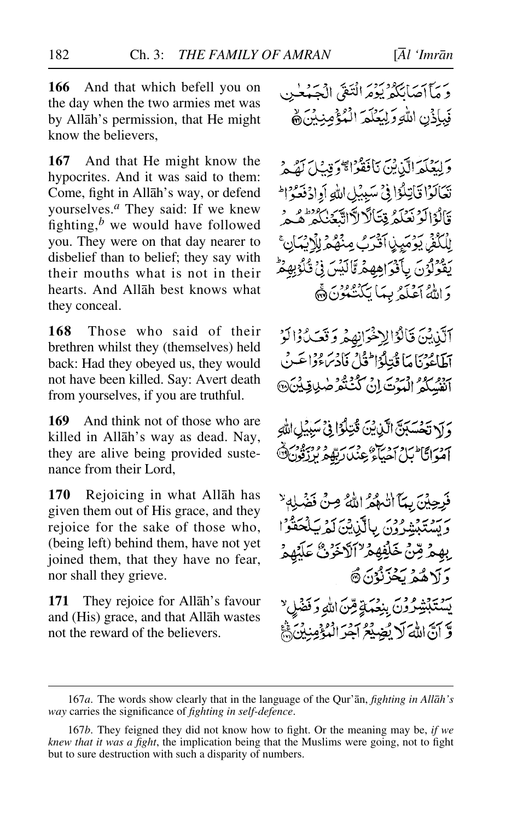**166** And that which befell you on the day when the two armies met was by Allåh's permission, that He might know the believers,

**167** And that He might know the hypocrites. And it was said to them: Come, fight in Allåh's way, or defend yourselves.*<sup>a</sup>* They said: If we knew fighting,*<sup>b</sup>* we would have followed you. They were on that day nearer to disbelief than to belief; they say with their mouths what is not in their hearts. And Allåh best knows what they conceal.

**168** Those who said of their brethren whilst they (themselves) held back: Had they obeyed us, they would not have been killed. Say: Avert death from yourselves, if you are truthful.

**169** And think not of those who are killed in Allåh's way as dead. Nay, they are alive being provided sustenance from their Lord,

**170** Rejoicing in what Allåh has given them out of His grace, and they rejoice for the sake of those who, (being left) behind them, have not yet joined them, that they have no fear, nor shall they grieve.

**171** They rejoice for Allåh's favour and (His) grace, and that Allåh wastes not the reward of the believers.

وَمَآاَهَانَكُمْ يَوْمَرَانْتَقَى الْجَهْعَينِ فَبِاذُنِ اللَّهِ وَلِيَعْلَمَ الْمُؤْمِنِينَ ﴾

وَلِيَعْلَمَ الَّيْنِ بَيْنَ نَافَقَوْا ﴾ وَقِيلاً كَقُبِهِ بَعَالَوْا قَاتِلُوْا فِي سَبِيْلِ اللهِ أَوِادُفَعَوْا وَالْوَالَوْنَعْلَمُ قِتَالًا لَاَالِّيَّعُنِكُمْ هُدِ لِلْكُفِّي يَوْمَيِيْ آَقْرَبُ مِنْهُمْ لِلْإِيْبَانِ ۚ يَقُولُوْنَ بِأَفْوَاهِهِمْ مَّالَيْسَ فِيْ قُلُوْبِهِمْ وَاللَّهُ أَعْلَمُ بِمَا يَكْنُهُوْنَ ﴾

آلَّذِيْنَ قَالُوْالِهِ خَوَانِهِمْ وَقَعَدُوْالَوْ أَطَاعُوْنَا مَا قُدِّيلُوْالثَّيْلُ فَأَدْبَرُوْا عَيْنُ آنفسكمُ الْمَوْتَ إِنْ كُنْتَقْدَ صٰلِيَاقِيِيْنَ۞

وَ لَا تَحْسَبَنَّ الَّذِيْنَ قُتِلُوْا فِي سَبِيْلِ اللَّهِ موانگا بار برگزشت دیگر برزون<br>اموانگا بل احیاء عنداربلم برزون

فَرِحِينَ بِمَآ اللَّهُمُّ اللَّهُ صِنْ فَضْلِهِ لَا يرسو بيوه ودس بالآن ين كم يسكحقوا ۣۣؠۿڋۺۣٙٚڂڷڣۿۂڒٵڒڎٷڽۢ؏ؘڷڋ وَ لَاهُمْ يَجْزَئُوْنَ @ يَسْتَبْشِرُوْنَ بِنِعْهَةٍ مِّنَ اللهِ وَفَضْ

وَّ آنَّ اللَّهَ لَا يُضِيْعُ آجَرَ الْمُؤْمِنِهِ

<sup>167</sup>*a*. The words show clearly that in the language of the Qur'ån, *fighting in Allåh's way* carries the significance of *fighting in self-defence*.

<sup>167</sup>*b*. They feigned they did not know how to fight. Or the meaning may be, *if we knew that it was a fight*, the implication being that the Muslims were going, not to fight but to sure destruction with such a disparity of numbers.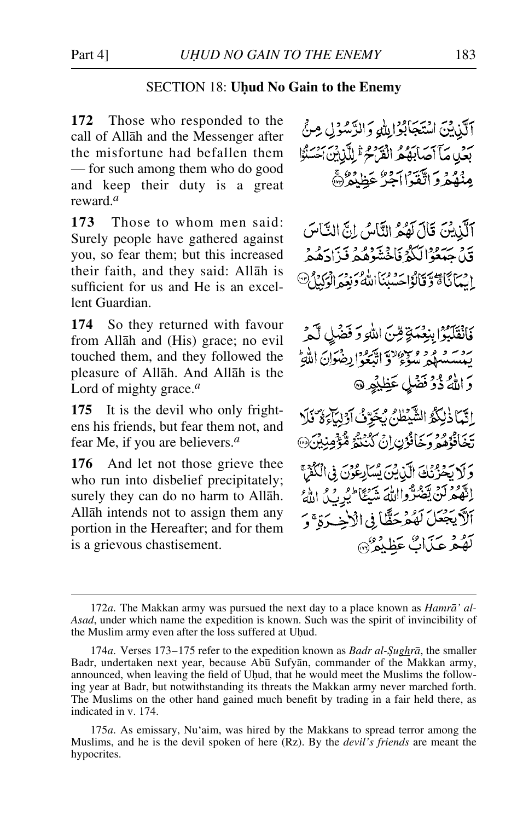# SECTION 18: **Uhud No Gain to the Enemy**

**172** Those who responded to the call of Allåh and the Messenger after the misfortune had befallen them — for such among them who do good and keep their duty is a great reward.*<sup>a</sup>*

**173** Those to whom men said: Surely people have gathered against you, so fear them; but this increased their faith, and they said: Allåh is sufficient for us and He is an excellent Guardian.

**174** So they returned with favour from Allåh and (His) grace; no evil touched them, and they followed the pleasure of Allåh. And Allåh is the Lord of mighty grace.*<sup>a</sup>*

**175** It is the devil who only frightens his friends, but fear them not, and fear Me, if you are believers.*<sup>a</sup>*

**176** And let not those grieve thee who run into disbelief precipitately; surely they can do no harm to Allåh. Allåh intends not to assign them any portion in the Hereafter; and for them is a grievous chastisement.

آلَّذِيْنَ اسْتَجَابُوْالِلُّهِ وَالرَّسُوْلِي مِنَّ بعن مآآصابَهُ مُ الْقَرْمُ وَإِلَيْنِ السَّنْوَا مِنْهُمْ وَاتَّقَدْا آجِرٌ عَظِنْهُمْ ۞

آلَّذِيْنَ قَالَ لَهُمُ النَّاسُ إِنَّ النَّاسَ ين سرود سرد الكثير في دور و سر سرد د<br>قبل جهعوالكثر فاخشوهگرفيز ادهگر انِيَانَا تَاتَوْ وَقَالُوْاحِسْنُنَا اللَّهُ وَنَعِيمَ الْوَكِيْاتِ

فَأَنْقَلَيْوًا بِنِعْمَةٍ قِنَ اللَّهِ وَ فَضْلِ لَّمْ روسو و و و سورد اسم و الجمهود و در الله<br>بيسسهم سوءٌ و البُعواريضون اللهِ وَاللَّهُ ذُوْ فَضْلٍ عَظِيْمِهِ اِتَّمَاذْلِكُمُ الشَّيْطُنُ يُخَرِّفُ أَوْلِيَاءَ وَّ نَلَا تَخَافْزُهُمْ وَخَافْزُنِ إِنْ كُنْنَتُمْ مُّؤْمِنِيْنَ۞ وَلَا يَحْزُنَكَ الَّذِينَ يَسَارِعُونَ فِي الْكُفْرَ إِنَّهُمْ لَنْ يَعْتَدُّوااللَّهَ شَيْعًا لَيُرِبُّلُ اللَّهُ أَلاَّ يَجْعَلَ لَهُمْ حَظَّا فِي الْأَخِيرَةِ ۚ وَ تَهْعُرْ عَذَابٌ عَظِيْمٌ (٢٠

<sup>172</sup>*a*. The Makkan army was pursued the next day to a place known as *Hamrå' al-Asad*, under which name the expedition is known. Such was the spirit of invincibility of the Muslim army even after the loss suffered at Uhud.

<sup>174</sup>*a*. Verses 173–175 refer to the expedition known as *Badr al-Şughrā*, the smaller Badr, undertaken next year, because Abū Sufyān, commander of the Makkan army, announced, when leaving the field of Uhud, that he would meet the Muslims the following year at Badr, but notwithstanding its threats the Makkan army never marched forth. The Muslims on the other hand gained much benefit by trading in a fair held there, as indicated in v. 174.

<sup>175</sup>*a*. As emissary, Nu'aim, was hired by the Makkans to spread terror among the Muslims, and he is the devil spoken of here (Rz). By the *devil's friends* are meant the hypocrites.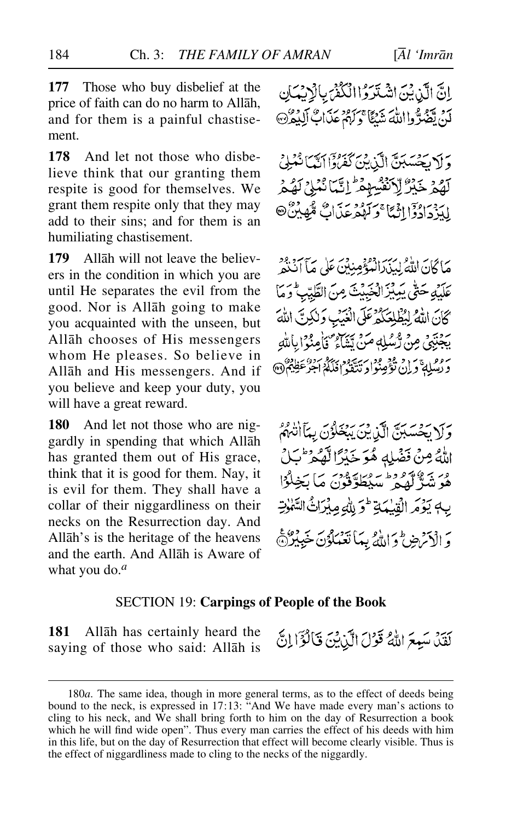**177** Those who buy disbelief at the price of faith can do no harm to Allåh, and for them is a painful chastisement.

**178** And let not those who disbelieve think that our granting them respite is good for themselves. We grant them respite only that they may add to their sins; and for them is an humiliating chastisement.

**179** Allåh will not leave the believers in the condition in which you are until He separates the evil from the good. Nor is Allåh going to make you acquainted with the unseen, but Allåh chooses of His messengers whom He pleases. So believe in Allåh and His messengers. And if you believe and keep your duty, you will have a great reward.

**180** And let not those who are niggardly in spending that which Allåh has granted them out of His grace, think that it is good for them. Nay, it is evil for them. They shall have a collar of their niggardliness on their necks on the Resurrection day. And Allåh's is the heritage of the heavens and the earth. And Allåh is Aware of what you do.*<sup>a</sup>*

إِنَّ الَّذِيْنَ اشْتَرَوُا الْكُفْرَ بِالْإِنِيْمَانِ لَيْنَ تَصَدَّدُوااللَّهَ شَيْئًا ۚ دَلَهُمْ عَذَابٌ ٱلْبُمْرَكَ ﴾

وَلَا يَحْسَبُنَّ الَّذِينَ كَفَرُواْ إِنَّمَا نُعْمَلُ لَهُمْ خَيْرٌ لِّالْفُسِهِمْ إِنَّمَا نُنُبِي لَهُمْ لِبَرْدَادُوْٓالِنَّمَّا ۚ وَكَهْدَعَدَابٌ مُّهِيْنٌ

مَا كَانَ اللَّهُ لِيَذَرَ الْمُؤْمِنِينَ عَلَى مَآَ أَنْنَهُمْ عَلَيْهِ حَتَّى يَدِيْنَ الْخَبِيْتَ مِنَ الطَّيِّبِ ۖ وَمَا كَانَ اللَّهُ لِبُطْلِعَكُمْ عَلَى الْغَيَبِ وَلَٰكِنَّ اللَّهَ يَجْنَبَنِّي مِنْ رُّسُلِهِ مَنْ تَيْنَاءُ ۖ فَأَمِنُوْا بِاللَّهِ رُفْعَلِهِ دَارٌ وَقَوْمٍ فَوْرٍ سِيَةٍ وَدِينَةٍ بِمَدْ سَوْعَظِيْمٌ ۞

وَلَا يَحْسَبُنَّ الَّذِينَ يَبْغَلُوْنَ بِمَأَأَتْنَهُمُ اللَّهُ مِنْ فَضْلِهِ هُوَ خَبْرًا لَّهُ وَلَّ بَلْ وبر برويورو أرويا ود.<br>هُوَ شَرٌّ لَهُمْ سَيْطُوٌفُونَ مَا بَخِلُوْا بِهِ يَؤْمَرِ الْقُدْيَةِ ۖ وَ لِلَّهِ مِبْرَاتٌ السَّ وَ الْأَنْرَضِ وَاللَّهُ بِمَا تَعْمَلُوْنَ خَبِيْرُكُنَّ

#### SECTION 19: **Carpings of People of the Book**

**181** Allåh has certainly heard the saying of those who said: Allåh is

لَقَدْ، سَبِعَ اللَّهُ قَوْلَ الَّذِينَ قَالَوْٓا إِنَّ

<sup>180</sup>*a*. The same idea, though in more general terms, as to the effect of deeds being bound to the neck, is expressed in 17:13: "And We have made every man's actions to cling to his neck, and We shall bring forth to him on the day of Resurrection a book which he will find wide open". Thus every man carries the effect of his deeds with him in this life, but on the day of Resurrection that effect will become clearly visible. Thus is the effect of niggardliness made to cling to the necks of the niggardly.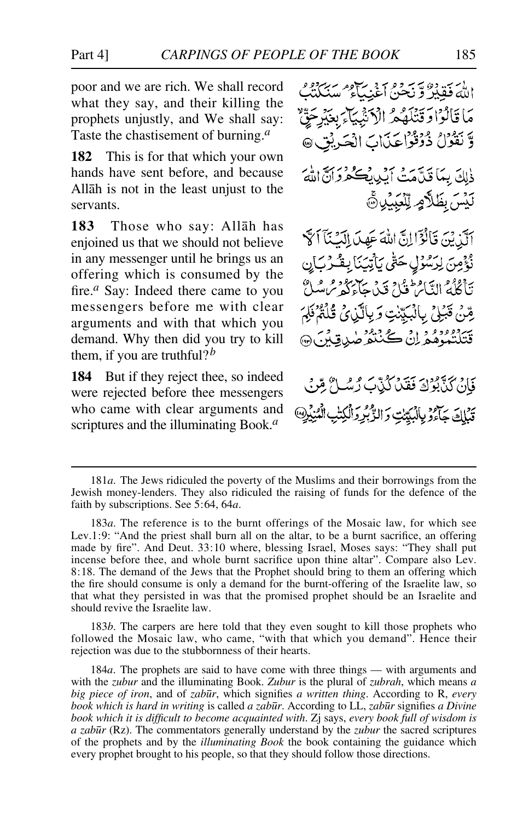poor and we are rich. We shall record what they say, and their killing the prophets unjustly, and We shall say: Taste the chastisement of burning.*<sup>a</sup>*

**182** This is for that which your own hands have sent before, and because Allåh is not in the least unjust to the servants.

**183** Those who say: Allåh has enjoined us that we should not believe in any messenger until he brings us an offering which is consumed by the fire.*<sup>a</sup>* Say: Indeed there came to you messengers before me with clear arguments and with that which you demand. Why then did you try to kill them, if you are truthful?*<sup>b</sup>*

**184** But if they reject thee, so indeed were rejected before thee messengers who came with clear arguments and scriptures and the illuminating Book.*<sup>a</sup>*

اللَّهَ فَقَدِرٌ وَيَسَعُ وَهُ مَنْ يَحْمُدُ سَنَكِيْبُ ۖ مَا قَالُوْا دَقَتْلَهُمْ الْأَنْبِيَآءَ بِعَيْرِجَقَّ وَّنْقُوْلُ ذُوْقُوْاعَيْهَابَ الْحَدِيْقِ @ ذْلِكَ بِمَا قَدَّامَتْ أَبْدِيكُ مُحَكَّرُدُ أَنَّهَ لَيۡسَ بِظَلَّامٍ لِّلۡغِبِيۡلِ ۚ آلَيْنِ يَنَ قَالَوْٓالِنَّ اللَّهَ عَهِدَ الْكُنَّآاَ لَهَ نْؤُمِنَ لِرَسُوْلٍ حَتَّى يَأْتِيَنَا بِقُدْرَبَانِ رَاطُوْمِ التَّامِ طَوْيُ بِهِ بِهِ مِنْ مِكْرَمُ و مِر مِرِ يِّتِنْ قَبَلِيِّ بِالْبَدِّيْتِ وَبِالَّيْنِيُّ قُلْمًٰ فَلَمَّا فَلِمَ قَتَلَنْكُوْهُ وَإِنْ كُنْتُوْطِيدِقِينَ فَانْ كَذَّبُوْلَ فَقَلْ كُنَّابٌ رُسُهُ

تَبْلِكَ جَاءُو بِالْبَيِّبْتِ وَالزَّبْرِ وَالْكِتْبِ الْمُنِيِّ

183*b*. The carpers are here told that they even sought to kill those prophets who followed the Mosaic law, who came, "with that which you demand". Hence their rejection was due to the stubbornness of their hearts.

184*a*. The prophets are said to have come with three things — with arguments and with the *zubur* and the illuminating Book. *Zubur* is the plural of *zubrah*, which means *a big piece of iron*, and of *zab∂r*, which signifies *a written thing*. According to R, *every book which is hard in writing* is called *a zabūr*. According to LL, *zabūr* signifies *a Divine book which it is difficult to become acquainted with*. Zj says, *every book full of wisdom is a zab∂r* (Rz). The commentators generally understand by the *zubur* the sacred scriptures of the prophets and by the *illuminating Book* the book containing the guidance which every prophet brought to his people, so that they should follow those directions.

<sup>181</sup>*a*. The Jews ridiculed the poverty of the Muslims and their borrowings from the Jewish money-lenders. They also ridiculed the raising of funds for the defence of the faith by subscriptions. See 5:64, 64*a*.

<sup>183</sup>*a*. The reference is to the burnt offerings of the Mosaic law, for which see Lev.1:9: "And the priest shall burn all on the altar, to be a burnt sacrifice, an offering made by fire". And Deut. 33:10 where, blessing Israel, Moses says: "They shall put incense before thee, and whole burnt sacrifice upon thine altar". Compare also Lev. 8:18. The demand of the Jews that the Prophet should bring to them an offering which the fire should consume is only a demand for the burnt-offering of the Israelite law, so that what they persisted in was that the promised prophet should be an Israelite and should revive the Israelite law.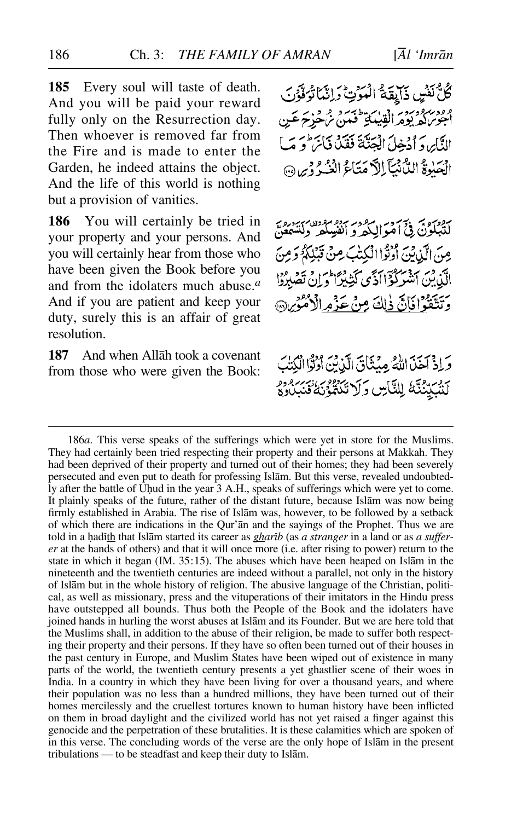**185** Every soul will taste of death. And you will be paid your reward fully only on the Resurrection day. Then whoever is removed far from the Fire and is made to enter the Garden, he indeed attains the object. And the life of this world is nothing but a provision of vanities.

**186** You will certainly be tried in your property and your persons. And you will certainly hear from those who have been given the Book before you and from the idolaters much abuse.*<sup>a</sup>* And if you are patient and keep your duty, surely this is an affair of great resolution.

**187** And when Allåh took a covenant from those who were given the Book:

كُلُّ نَفْسٍ ذَابِقَةٌ الْمَوْتِ دَانِيًّا تُوَفَّوْنَ ووربروديه دين سي استرديد و ديه عن<br>اجوبراه يوهر القيهائي فعن تر هزير عن الدَّابِر، وَ اُدْخِلَ الْعَنَّةَ فَقَدْ فَيَا بِرَامِ مِيَ ] الْهَيْبِوَةُ اللَّهُ نُمَآ إِلاَّ مَتَاءُ الْنُهُ ۚ وَبِي ۞

سوم، تحتي في آمو الكروم بيوم موده سبز دره<br>للنبلون في آمو الكرو الفيبلكر ولتسمع مِنَ الَّذِينَ أُوْثَرًا الْكِتْبَ مِنْ قَبْلِكُمُّ وَمِنَ الَّذِينِ ٱشْرَكْزَااَدَّى كَثِيْرَا وَإِنْ تَصْبِرُوْا وَتَتَقَوْافَانَّ ذٰلِكَ مِنْ عَذْمِ الْأُمُوْيِنَ

وَإِذْ آَخَيْنَ اللَّهُ مِينَنَاقَ الَّذِينَ أَدْنُواْ الْكِنَٰبَ لَتَّبَيِّنُنَّهُ لِلتَّأْسِ وَلَا تَكْتُوُنَهُ ْنَبَرَ وُوْمِ

186*a*. This verse speaks of the sufferings which were yet in store for the Muslims. They had certainly been tried respecting their property and their persons at Makkah. They had been deprived of their property and turned out of their homes; they had been severely persecuted and even put to death for professing Islåm. But this verse, revealed undoubtedly after the battle of Uhud in the year 3 A.H., speaks of sufferings which were yet to come. It plainly speaks of the future, rather of the distant future, because Islåm was now being firmly established in Arabia. The rise of Islåm was, however, to be followed by a setback of which there are indications in the Qur'ån and the sayings of the Prophet. Thus we are told in a hadith that Islam started its career as *gharib* (as *a stranger* in a land or as *a sufferer* at the hands of others) and that it will once more (i.e. after rising to power) return to the state in which it began (IM. 35:15). The abuses which have been heaped on Islåm in the nineteenth and the twentieth centuries are indeed without a parallel, not only in the history of Islåm but in the whole history of religion. The abusive language of the Christian, political, as well as missionary, press and the vituperations of their imitators in the Hindu press have outstepped all bounds. Thus both the People of the Book and the idolaters have joined hands in hurling the worst abuses at Islåm and its Founder. But we are here told that the Muslims shall, in addition to the abuse of their religion, be made to suffer both respecting their property and their persons. If they have so often been turned out of their houses in the past century in Europe, and Muslim States have been wiped out of existence in many parts of the world, the twentieth century presents a yet ghastlier scene of their woes in India. In a country in which they have been living for over a thousand years, and where their population was no less than a hundred millions, they have been turned out of their homes mercilessly and the cruellest tortures known to human history have been inflicted on them in broad daylight and the civilized world has not yet raised a finger against this genocide and the perpetration of these brutalities. It is these calamities which are spoken of in this verse. The concluding words of the verse are the only hope of Islåm in the present tribulations — to be steadfast and keep their duty to Islåm.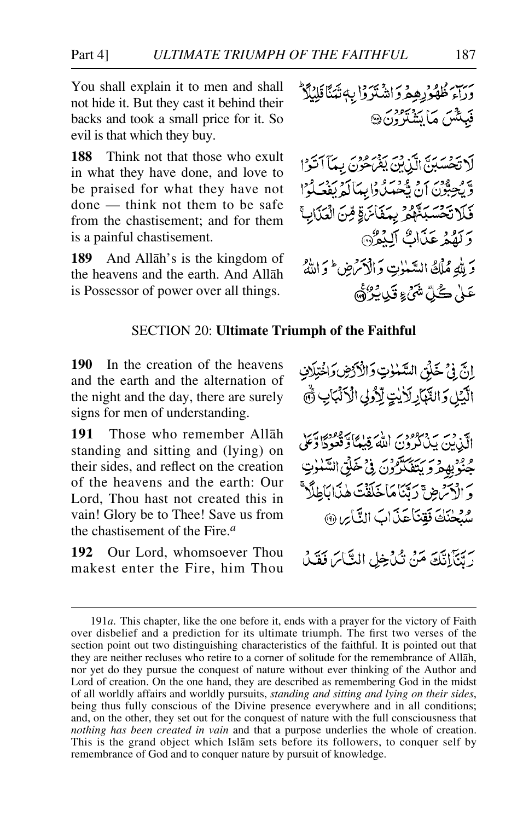You shall explain it to men and shall not hide it. But they cast it behind their backs and took a small price for it. So evil is that which they buy.

**188** Think not that those who exult in what they have done, and love to be praised for what they have not done — think not them to be safe from the chastisement; and for them is a painful chastisement.

**189** And Allåh's is the kingdom of the heavens and the earth. And Allåh is Possessor of power over all things.

ىرىن ئۇلۇدىۋېم دَاشْتَرْدْا بِهِ تْيَنَاقِلِيْلَا فَبِيئْتُينَ مَا يَشْتَرْوُنَ۞

لَا تَحْسَبُنَّ الَّيْنِينَ يَقْرَحُونَ بِمَآَ أَتَوَّا وَّيُجِبُّوْنَ أَنْ يَجْمَلُوا بِيَاَلَّهُ يَفْعَلُوْا فَلَا تَحْسَبَتَّهُمْ بِمَفَائِنَةٍ مِّنَ الْعَذَابِّ وَكَفَّدْ عَذَاتٌ أَلِيْدُرْ وَ للهِ مُمْلِحُ السَّيْنِاتِ وَالْذَكْرَ مِنْ ﴿ وَاللَّهُ عَلَىٰ كُلِّ شَيْءٍ قَيْدِيْرُهُمَّ

# SECTION 20: **Ultimate Triumph of the Faithful**

**190** In the creation of the heavens and the earth and the alternation of the night and the day, there are surely signs for men of understanding.

**191** Those who remember Allåh standing and sitting and (lying) on their sides, and reflect on the creation of the heavens and the earth: Our Lord, Thou hast not created this in vain! Glory be to Thee! Save us from the chastisement of the Fire.*<sup>a</sup>*

**192** Our Lord, whomsoever Thou makest enter the Fire, him Thou إنَّ فِي خَلْقِ السَّنْوٰتِ وَالْأَرْضِ وَاخْتِلَافِ الَّذِيْلِ وَالتَّهَارِ لَأَيْتٍ لِّذُولِي الْأَلْبَابِ ثُمَّ

اَیْنْ بِنْ دَرُوْدِيْ اَللّٰہُ قِیلاً وَقَعُودًا وَعَلَىٰ جَنْوْبِهِ مِرْكَرَ بَيْتَهَدَّرْنَ فِي خَلِّقِ السَّنْوٰتِ وَالْأَسْرَضِ ۚ رَتَّنَامَاخَلَقْتَ هٰذَابَاطِلًا ۖ موطنَكَ فَقِنَا عَذَابَ النَّاسِ (9)

رِيِّيَّ إِنَّكَ مَنْ نُدْخِلِ النَّاسَ فَقَدْ

<sup>191</sup>*a*. This chapter, like the one before it, ends with a prayer for the victory of Faith over disbelief and a prediction for its ultimate triumph. The first two verses of the section point out two distinguishing characteristics of the faithful. It is pointed out that they are neither recluses who retire to a corner of solitude for the remembrance of Allåh, nor yet do they pursue the conquest of nature without ever thinking of the Author and Lord of creation. On the one hand, they are described as remembering God in the midst of all worldly affairs and worldly pursuits, *standing and sitting and lying on their sides*, being thus fully conscious of the Divine presence everywhere and in all conditions; and, on the other, they set out for the conquest of nature with the full consciousness that *nothing has been created in vain* and that a purpose underlies the whole of creation. This is the grand object which Islåm sets before its followers, to conquer self by remembrance of God and to conquer nature by pursuit of knowledge.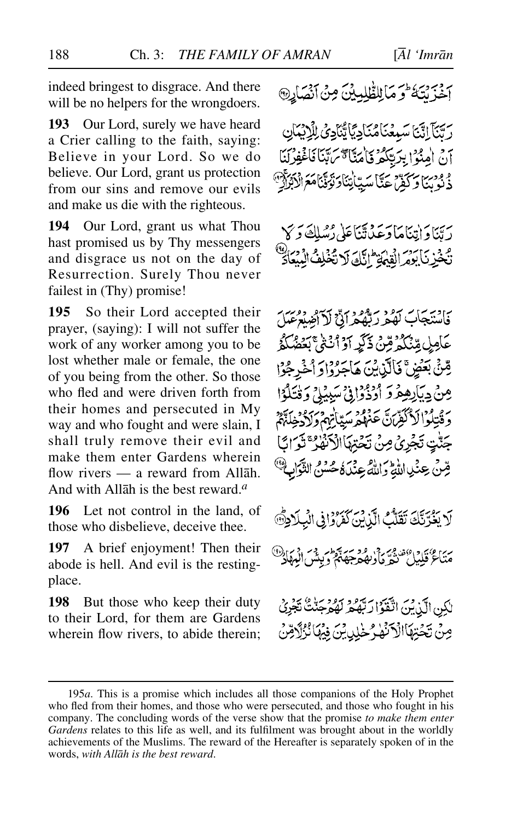indeed bringest to disgrace. And there will be no helpers for the wrongdoers.

**193** Our Lord, surely we have heard a Crier calling to the faith, saying: Believe in your Lord. So we do believe. Our Lord, grant us protection from our sins and remove our evils and make us die with the righteous.

**194** Our Lord, grant us what Thou hast promised us by Thy messengers and disgrace us not on the day of Resurrection. Surely Thou never failest in (Thy) promise!

**195** So their Lord accepted their prayer, (saying): I will not suffer the work of any worker among you to be lost whether male or female, the one of you being from the other. So those who fled and were driven forth from their homes and persecuted in My way and who fought and were slain, I shall truly remove their evil and make them enter Gardens wherein flow rivers — a reward from Allåh. And with Allåh is the best reward.*<sup>a</sup>*

**196** Let not control in the land, of those who disbelieve, deceive thee.

**197** A brief enjoyment! Then their abode is hell. And evil is the restingplace.

**198** But those who keep their duty to their Lord, for them are Gardens wherein flow rivers, to abide therein; ة وَمَالِلظَّلِيِيْنَ مِنْ أَنْصَارِ

رِيِّبَآ إِنَّيَّا سَبِعْنَامُنَادِيَّا يُّنَادِيُّ لِلْإِيْمَانِ أَنْ أَمِنُوا بِرَسِّكُمْ فَأَمَيَّاً مَّ بِآَيَا فَأَغْفِرْنَنَا دُنُونَ وَكَفَرْعَةً عَيَّا سَيّانِنَادَنْوَقَنَامَعَ الْأَبَرَانَّ

رِيّنَاوَاتِيَاهَاوَعَدُنَّتَنَاعَلَى رُسُلِكَ وَ كَا تَخْزِيَأْبُوْمَ الْقِيَمَةِ ۖ انَّلَّهُ لَا تَهُ

فَأَسْتَجَأْبَ لَهُمْ رَبُّهُمْ أَنَّىٰٓ لَاَ أَضِيْعُ عَمَلَ عَامِلِ مِّنْكُمُ مِّنْ ذَكَرِ أَوْ أَنْتَىٰ بَعْضُكُمْ مِّنْ بَعَضٍ ۚ فَالَّذِينَ هَاجَرُوْا وَأَخْرِجُوْا مِنْ دِيَاْرِهِمْرِ دَ أَدْذُوْا فِيْ سَبِيْلِيْ دَ قُتِلُوْا جَنَّتِ تَجْرِيُ مِنْ تَحْتِهَاْالْأَنْهَا ۚ تَوْ قِينَ عِنْنِي اللَّهِ وَاللَّهُ عِنْنَ كَاحْسَنُ؟

لَا يَغْدَّنَّكَ تَقَلُّكُ الَّذِنْنَ كَفَرُوْا فِي الْمِلَادِثَةِ ريز عربي درور دي دو سه هو .<br>متاع قليل تحقه ماويفتر جهتم ديپشر

لكِنِ الَّذِينَ اتَّقَوْا رَبَّهُ هُ لَهُ وَمُرَدٍ لِدِينَ فِيَهَا نُزُلًا مِنْ تَجْتِهَا

<sup>195</sup>*a*. This is a promise which includes all those companions of the Holy Prophet who fled from their homes, and those who were persecuted, and those who fought in his company. The concluding words of the verse show that the promise *to make them enter Gardens* relates to this life as well, and its fulfilment was brought about in the worldly achievements of the Muslims. The reward of the Hereafter is separately spoken of in the words, *with Allåh is the best reward*.